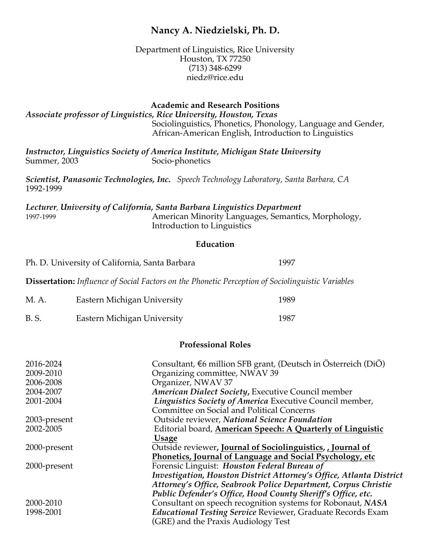# **Nancy A. Niedzielski, Ph. D.**

Department of Linguistics, Rice University Houston, TX 77250 (713) 348-6299 niedz@rice.edu

**Academic and Research Positions**

*Associate professor of Linguistics, Rice University, Houston, Texas*  Sociolinguistics, Phonetics, Phonology, Language and Gender, African-American English, Introduction to Linguistics

*Instructor, Linguistics Society of America Institute, Michigan State University* Summer, 2003 Socio-phonetics

*Scientist, Panasonic Technologies, Inc. Speech Technology Laboratory, Santa Barbara, CA* 1992-1999

*Lecturer*, *University of California, Santa Barbara Linguistics Department* 1997-1999 American Minority Languages, Semantics, Morphology, Introduction to Linguistics

#### **Education**

Ph. D. University of California, Santa Barbara 1997

**Dissertation:** *Influence of Social Factors on the Phonetic Perception of Sociolinguistic Variables*

| M. A.       | Eastern Michigan University | 1989 |
|-------------|-----------------------------|------|
| <b>B.S.</b> | Eastern Michigan University | 1987 |

#### **Professional Roles**

| 2016-2024    | Consultant, $\epsilon$ 6 million SFB grant, (Deutsch in Österreich (DiÖ) |
|--------------|--------------------------------------------------------------------------|
| 2009-2010    | Organizing committee, NWAV 39                                            |
| 2006-2008    | Organizer, NWAV 37                                                       |
| 2004-2007    | American Dialect Society, Executive Council member                       |
| 2001-2004    | Linguistics Society of America Executive Council member,                 |
|              | Committee on Social and Political Concerns                               |
| 2003-present | Outside reviewer, National Science Foundation                            |
| 2002-2005    | Editorial board, American Speech: A Quarterly of Linguistic              |
|              | <b>Usage</b>                                                             |
| 2000-present | Outside reviewer, Journal of Sociolinguistics, Journal of                |
|              | Phonetics, Journal of Language and Social Psychology, etc                |
| 2000-present | Forensic Linguist: Houston Federal Bureau of                             |
|              | Investigation, Houston District Attorney's Office, Atlanta District      |
|              | Attorney's Office, Seabrook Police Department, Corpus Christie           |
|              | Public Defender's Office, Hood County Sheriff's Office, etc.             |
| 2000-2010    | Consultant on speech recognition systems for Robonaut, NASA              |
| 1998-2001    | Educational Testing Service Reviewer, Graduate Records Exam              |
|              | (GRE) and the Praxis Audiology Test                                      |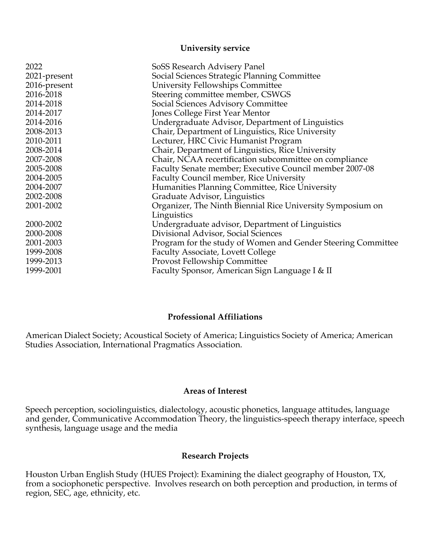#### **University service**

| 2022         | SoSS Research Advisery Panel                                 |
|--------------|--------------------------------------------------------------|
| 2021-present | Social Sciences Strategic Planning Committee                 |
| 2016-present | University Fellowships Committee                             |
| 2016-2018    | Steering committee member, CSWGS                             |
| 2014-2018    | Social Sciences Advisory Committee                           |
| 2014-2017    | Jones College First Year Mentor                              |
| 2014-2016    | Undergraduate Advisor, Department of Linguistics             |
| 2008-2013    | Chair, Department of Linguistics, Rice University            |
| 2010-2011    | Lecturer, HRC Civic Humanist Program                         |
| 2008-2014    | Chair, Department of Linguistics, Rice University            |
| 2007-2008    | Chair, NCAA recertification subcommittee on compliance       |
| 2005-2008    | Faculty Senate member; Executive Council member 2007-08      |
| 2004-2005    | <b>Faculty Council member, Rice University</b>               |
| 2004-2007    | Humanities Planning Committee, Rice University               |
| 2002-2008    | Graduate Advisor, Linguistics                                |
| 2001-2002    | Organizer, The Ninth Biennial Rice University Symposium on   |
|              | Linguistics                                                  |
| 2000-2002    | Undergraduate advisor, Department of Linguistics             |
| 2000-2008    | Divisional Advisor, Social Sciences                          |
| 2001-2003    | Program for the study of Women and Gender Steering Committee |
| 1999-2008    | <b>Faculty Associate, Lovett College</b>                     |
| 1999-2013    | Provost Fellowship Committee                                 |
| 1999-2001    | Faculty Sponsor, American Sign Language I & II               |
|              |                                                              |

# **Professional Affiliations**

American Dialect Society; Acoustical Society of America; Linguistics Society of America; American Studies Association, International Pragmatics Association.

### **Areas of Interest**

Speech perception, sociolinguistics, dialectology, acoustic phonetics, language attitudes, language and gender, Communicative Accommodation Theory, the linguistics-speech therapy interface, speech synthesis, language usage and the media

#### **Research Projects**

Houston Urban English Study (HUES Project): Examining the dialect geography of Houston, TX, from a sociophonetic perspective. Involves research on both perception and production, in terms of region, SEC, age, ethnicity, etc.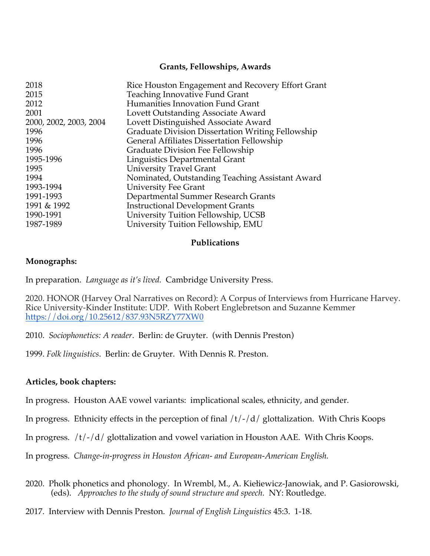# **Grants, Fellowships, Awards**

| 2018                   | Rice Houston Engagement and Recovery Effort Grant |
|------------------------|---------------------------------------------------|
| 2015                   | Teaching Innovative Fund Grant                    |
| 2012                   | Humanities Innovation Fund Grant                  |
| 2001                   | Lovett Outstanding Associate Award                |
| 2000, 2002, 2003, 2004 | Lovett Distinguished Associate Award              |
| 1996                   | Graduate Division Dissertation Writing Fellowship |
| 1996                   | <b>General Affiliates Dissertation Fellowship</b> |
| 1996                   | Graduate Division Fee Fellowship                  |
| 1995-1996              | Linguistics Departmental Grant                    |
| 1995                   | <b>University Travel Grant</b>                    |
| 1994                   | Nominated, Outstanding Teaching Assistant Award   |
| 1993-1994              | <b>University Fee Grant</b>                       |
| 1991-1993              | Departmental Summer Research Grants               |
| 1991 & 1992            | <b>Instructional Development Grants</b>           |
| 1990-1991              | University Tuition Fellowship, UCSB               |
| 1987-1989              | University Tuition Fellowship, EMU                |
|                        |                                                   |

#### **Publications**

# **Monographs:**

In preparation. *Language as it's lived.* Cambridge University Press.

2020. HONOR (Harvey Oral Narratives on Record): A Corpus of Interviews from Hurricane Harvey. Rice University-Kinder Institute: UDP. With Robert Englebretson and Suzanne Kemmer https://doi.org/10.25612/837.93N5RZY77XW0

2010. *Sociophonetics: A reader*. Berlin: de Gruyter. (with Dennis Preston)

1999. *Folk linguistics*. Berlin: de Gruyter. With Dennis R. Preston.

# **Articles, book chapters:**

In progress. Houston AAE vowel variants: implicational scales, ethnicity, and gender.

In progress. Ethnicity effects in the perception of final  $/t$   $\frac{1}{d}$  glottalization. With Chris Koops

In progress. /t/-/d/ glottalization and vowel variation in Houston AAE. With Chris Koops.

In progress. *Change-in-progress in Houston African- and European-American English.*

- 2020. Pholk phonetics and phonology. In Wrembl, M., A. Kiełiewicz-Janowiak, and P. Gasiorowski, (eds). *Approaches to the study of sound structure and speech.* NY: Routledge.
- 2017. Interview with Dennis Preston. *Journal of English Linguistics* 45:3. 1-18.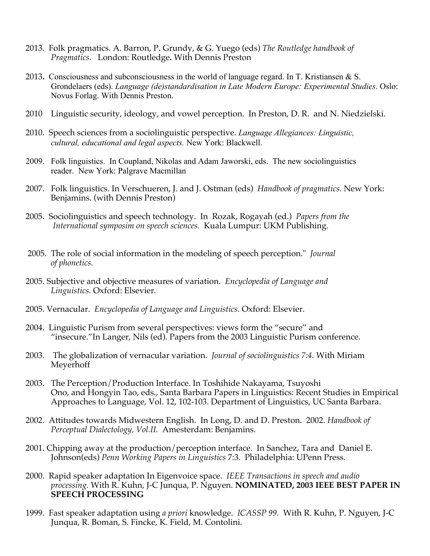- 2013. Folk pragmatics. A. Barron, P. Grundy, & G. Yuego (eds) *The Routledge handbook of Pragmatics.* London: Routledge**.** With Dennis Preston
- 2013**.** Consciousness and subconsciousness in the world of language regard. In T. Kristiansen & S. Grondelaers (eds). *Language (de)standardisation in Late Modern Europe: Experimental Studies*. Oslo: Novus Forlag. With Dennis Preston.
- 2010 Linguistic security, ideology, and vowel perception. In Preston, D. R. and N. Niedzielski.
- 2010. Speech sciences from a sociolinguistic perspective. *Language Allegiances: Linguistic, cultural, educational and legal aspects.* New York: Blackwell.
- 2009. Folk linguistics. In Coupland, Nikolas and Adam Jaworski, eds. The new sociolinguistics reader. New York: Palgrave Macmillan
- 2007. Folk linguistics. In Verschueren, J. and J. Ostman (eds) *Handbook of pragmatics.* New York: Benjamins. (with Dennis Preston)
- 2005. Sociolinguistics and speech technology. In Rozak, Rogayah (ed.) *Papers from the International symposim on speech sciences.* Kuala Lumpur: UKM Publishing.
- 2005. The role of social information in the modeling of speech perception." *Journal of phonetics.*
- 2005. Subjective and objective measures of variation. *Encyclopedia of Language and Linguistics.* Oxford: Elsevier.
- 2005. Vernacular. *Encyclopedia of Language and Linguistics*. Oxford: Elsevier.
- 2004. Linguistic Purism from several perspectives: views form the "secure" and "insecure."In Langer, Nils (ed). Papers from the 2003 Linguistic Purism conference.
- 2003. The globalization of vernacular variation. *Journal of sociolinguistics 7:4.* With Miriam Meyerhoff
- 2003. The Perception/Production Interface. In Toshihide Nakayama, Tsuyoshi Ono, and Hongyin Tao, eds., Santa Barbara Papers in Linguistics: Recent Studies in Empirical Approaches to Language, Vol. 12, 102-103. Department of Linguistics, UC Santa Barbara.
- 2002. Attitudes towards Midwestern English. In Long, D. and D. Preston. 2002. *Handbook of Perceptual Dialectology, Vol.II.* Amesterdam: Benjamins.
- 2001. Chipping away at the production/perception interface. In Sanchez, Tara and Daniel E. Johnson(eds) *Penn Working Papers in Linguistics* 7:3. Philadelphia: UPenn Press*.*
- 2000. Rapid speaker adaptation In Eigenvoice space. *IEEE Transactions in speech and audio processing.* With R. Kuhn, J-C Junqua, P. Nguyen. **NOMINATED, 2003 IEEE BEST PAPER IN SPEECH PROCESSING**
- 1999. Fast speaker adaptation using *a priori* knowledge. *ICASSP 99.* With R. Kuhn, P. Nguyen, J-C Junqua, R. Boman, S. Fincke, K. Field, M. Contolini.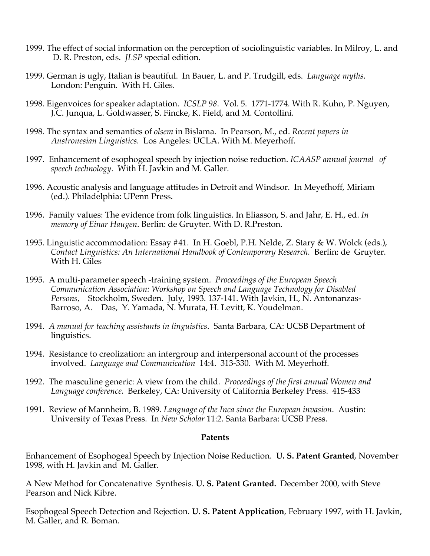- 1999. The effect of social information on the perception of sociolinguistic variables. In Milroy, L. and D. R. Preston, eds. *JLSP* special edition.
- 1999. German is ugly, Italian is beautiful. In Bauer, L. and P. Trudgill, eds. *Language myths.* London: Penguin. With H. Giles.
- 1998. Eigenvoices for speaker adaptation. *ICSLP 98*. Vol. 5. 1771-1774. With R. Kuhn, P. Nguyen, J.C. Junqua, L. Goldwasser, S. Fincke, K. Field, and M. Contollini.
- 1998. The syntax and semantics of *olsem* in Bislama. In Pearson, M., ed. *Recent papers in Austronesian Linguistics.* Los Angeles: UCLA. With M. Meyerhoff.
- 1997. Enhancement of esophogeal speech by injection noise reduction. *ICAASP annual journal of speech technology*. With H. Javkin and M. Galler.
- 1996. Acoustic analysis and language attitudes in Detroit and Windsor. In Meyefhoff, Miriam (ed.). Philadelphia: UPenn Press.
- 1996. Family values: The evidence from folk linguistics. In Eliasson, S. and Jahr, E. H., ed. *In memory of Einar Haugen*. Berlin: de Gruyter. With D. R.Preston.
- 1995. Linguistic accommodation: Essay #41. In H. Goebl, P.H. Nelde, Z. Stary & W. Wolck (eds.), *Contact Linguistics: An International Handbook of Contemporary Research.* Berlin: de Gruyter. With H. Giles
- 1995. A multi-parameter speech -training system. *Proceedings of the European Speech Communication Association: Workshop on Speech and Language Technology for Disabled Persons,* Stockholm, Sweden. July, 1993. 137-141. With Javkin, H., N. Antonanzas-Barroso, A. Das, Y. Yamada, N. Murata, H. Levitt, K. Youdelman.
- 1994. *A manual for teaching assistants in linguistics*. Santa Barbara, CA: UCSB Department of linguistics.
- 1994. Resistance to creolization: an intergroup and interpersonal account of the processes involved. *Language and Communication* 14:4. 313-330. With M. Meyerhoff.
- 1992. The masculine generic: A view from the child. *Proceedings of the first annual Women and Language conference*. Berkeley, CA: University of California Berkeley Press. 415-433
- 1991. Review of Mannheim, B. 1989. *Language of the Inca since the European invasion*. Austin: University of Texas Press. In *New Scholar* 11:2. Santa Barbara: UCSB Press.

#### **Patents**

Enhancement of Esophogeal Speech by Injection Noise Reduction. **U. S. Patent Granted**, November 1998, with H. Javkin and M. Galler.

A New Method for Concatenative Synthesis. **U. S. Patent Granted.** December 2000, with Steve Pearson and Nick Kibre.

Esophogeal Speech Detection and Rejection. **U. S. Patent Application**, February 1997, with H. Javkin, M. Galler, and R. Boman.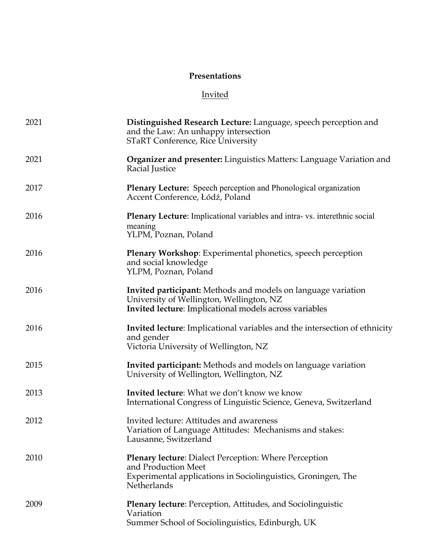# **Presentations**

# Invited

| 2021 | Distinguished Research Lecture: Language, speech perception and<br>and the Law: An unhappy intersection<br><b>STaRT Conference, Rice University</b>                        |
|------|----------------------------------------------------------------------------------------------------------------------------------------------------------------------------|
| 2021 | <b>Organizer and presenter:</b> Linguistics Matters: Language Variation and<br>Racial Justice                                                                              |
| 2017 | <b>Plenary Lecture:</b> Speech perception and Phonological organization<br>Accent Conference, Łódź, Poland                                                                 |
| 2016 | <b>Plenary Lecture:</b> Implicational variables and intra-vs. interethnic social<br>meaning<br>YLPM, Poznan, Poland                                                        |
| 2016 | <b>Plenary Workshop:</b> Experimental phonetics, speech perception<br>and social knowledge<br>YLPM, Poznan, Poland                                                         |
| 2016 | <b>Invited participant:</b> Methods and models on language variation<br>University of Wellington, Wellington, NZ<br>Invited lecture: Implicational models across variables |
| 2016 | <b>Invited lecture:</b> Implicational variables and the intersection of ethnicity<br>and gender<br>Victoria University of Wellington, NZ                                   |
| 2015 | <b>Invited participant:</b> Methods and models on language variation<br>University of Wellington, Wellington, NZ                                                           |
| 2013 | Invited lecture: What we don't know we know<br>International Congress of Linguistic Science, Geneva, Switzerland                                                           |
| 2012 | Invited lecture: Attitudes and awareness<br>Variation of Language Attitudes: Mechanisms and stakes:<br>Lausanne, Switzerland                                               |
| 2010 | <b>Plenary lecture:</b> Dialect Perception: Where Perception<br>and Production Meet<br>Experimental applications in Sociolinguistics, Groningen, The<br>Netherlands        |
| 2009 | <b>Plenary lecture:</b> Perception, Attitudes, and Sociolinguistic<br>Variation<br>Summer School of Sociolinguistics, Edinburgh, UK                                        |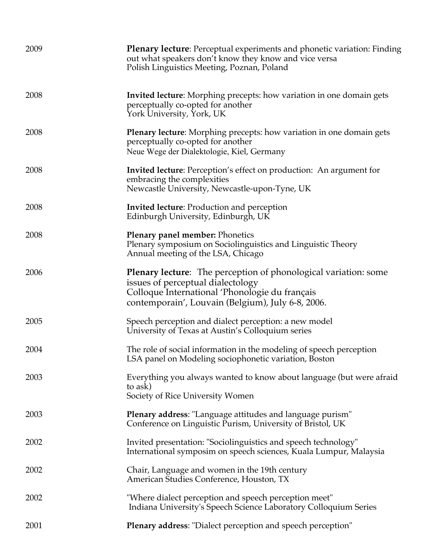| 2009 | <b>Plenary lecture:</b> Perceptual experiments and phonetic variation: Finding<br>out what speakers don't know they know and vice versa<br>Polish Linguistics Meeting, Poznan, Poland                              |
|------|--------------------------------------------------------------------------------------------------------------------------------------------------------------------------------------------------------------------|
| 2008 | <b>Invited lecture:</b> Morphing precepts: how variation in one domain gets<br>perceptually co-opted for another<br>York University, York, UK                                                                      |
| 2008 | Plenary lecture: Morphing precepts: how variation in one domain gets<br>perceptually co-opted for another<br>Neue Wege der Dialektologie, Kiel, Germany                                                            |
| 2008 | <b>Invited lecture:</b> Perception's effect on production: An argument for<br>embracing the complexities<br>Newcastle University, Newcastle-upon-Tyne, UK                                                          |
| 2008 | <b>Invited lecture:</b> Production and perception<br>Edinburgh University, Edinburgh, UK                                                                                                                           |
| 2008 | Plenary panel member: Phonetics<br>Plenary symposium on Sociolinguistics and Linguistic Theory<br>Annual meeting of the LSA, Chicago                                                                               |
| 2006 | <b>Plenary lecture:</b> The perception of phonological variation: some<br>issues of perceptual dialectology<br>Colloque International 'Phonologie du français<br>contemporain', Louvain (Belgium), July 6-8, 2006. |
| 2005 | Speech perception and dialect perception: a new model<br>University of Texas at Austin's Colloquium series                                                                                                         |
| 2004 | The role of social information in the modeling of speech perception<br>LSA panel on Modeling sociophonetic variation, Boston                                                                                       |
| 2003 | Everything you always wanted to know about language (but were afraid<br>to ask)<br>Society of Rice University Women                                                                                                |
| 2003 | Plenary address: "Language attitudes and language purism"<br>Conference on Linguistic Purism, University of Bristol, UK                                                                                            |
| 2002 | Invited presentation: "Sociolinguistics and speech technology"<br>International symposim on speech sciences, Kuala Lumpur, Malaysia                                                                                |
| 2002 | Chair, Language and women in the 19th century<br>American Studies Conference, Houston, TX                                                                                                                          |
| 2002 | "Where dialect perception and speech perception meet"<br>Indiana University's Speech Science Laboratory Colloquium Series                                                                                          |
| 2001 | Plenary address: "Dialect perception and speech perception"                                                                                                                                                        |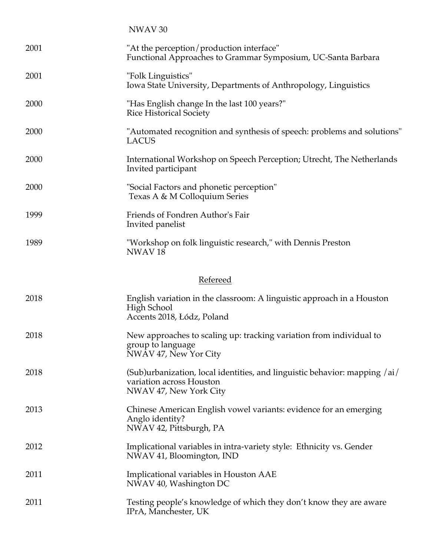|          | NWAV <sub>30</sub>                                                                                                               |
|----------|----------------------------------------------------------------------------------------------------------------------------------|
| 2001     | "At the perception/production interface"<br>Functional Approaches to Grammar Symposium, UC-Santa Barbara                         |
| 2001     | "Folk Linguistics"<br>Iowa State University, Departments of Anthropology, Linguistics                                            |
| 2000     | "Has English change In the last 100 years?"<br><b>Rice Historical Society</b>                                                    |
| 2000     | "Automated recognition and synthesis of speech: problems and solutions"<br><b>LACUS</b>                                          |
| 2000     | International Workshop on Speech Perception; Utrecht, The Netherlands<br>Invited participant                                     |
| 2000     | "Social Factors and phonetic perception"<br>Texas A & M Colloquium Series                                                        |
| 1999     | Friends of Fondren Author's Fair<br>Invited panelist                                                                             |
| 1989     | "Workshop on folk linguistic research," with Dennis Preston<br>NWAV <sub>18</sub>                                                |
| Refereed |                                                                                                                                  |
| 2018     | English variation in the classroom: A linguistic approach in a Houston<br>High School<br>Accents 2018, Łódz, Poland              |
| 2018     | New approaches to scaling up: tracking variation from individual to<br>group to language<br>NWAV 47, New Yor City                |
| 2018     | (Sub)urbanization, local identities, and linguistic behavior: mapping /ai/<br>variation across Houston<br>NWAV 47, New York City |
| 2013     | Chinese American English vowel variants: evidence for an emerging<br>Anglo identity?<br>NWAV 42, Pittsburgh, PA                  |
| 2012     | Implicational variables in intra-variety style: Ethnicity vs. Gender<br>NWAV 41, Bloomington, IND                                |
| 2011     | Implicational variables in Houston AAE<br>NWAV 40, Washington DC                                                                 |
| 2011     | Testing people's knowledge of which they don't know they are aware<br>IPrA, Manchester, UK                                       |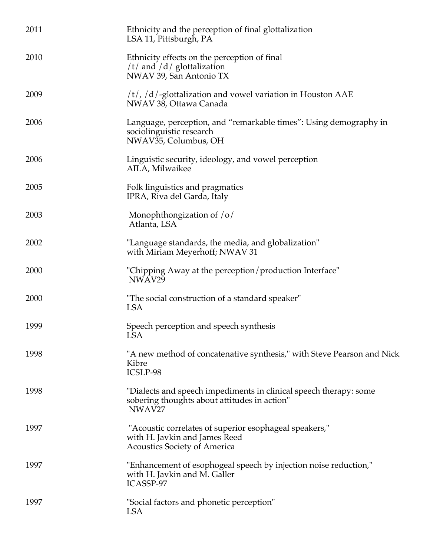| 2011 | Ethnicity and the perception of final glottalization<br>LSA 11, Pittsburgh, PA                                                          |
|------|-----------------------------------------------------------------------------------------------------------------------------------------|
| 2010 | Ethnicity effects on the perception of final<br>$/t/$ and $/d/$ glottalization<br>NWAV 39, San Antonio TX                               |
| 2009 | $/t/$ , $/d/$ -glottalization and vowel variation in Houston AAE<br>NWAV 38, Ottawa Canada                                              |
| 2006 | Language, perception, and "remarkable times": Using demography in<br>sociolinguistic research<br>NWAV35, Columbus, OH                   |
| 2006 | Linguistic security, ideology, and vowel perception<br>AILA, Milwaikee                                                                  |
| 2005 | Folk linguistics and pragmatics<br>IPRA, Riva del Garda, Italy                                                                          |
| 2003 | Monophthongization of $\sqrt{\frac{6}{}}$<br>Atlanta, LSA                                                                               |
| 2002 | "Language standards, the media, and globalization"<br>with Miriam Meyerhoff; NWAV 31                                                    |
| 2000 | "Chipping Away at the perception/production Interface"<br>NWAV29                                                                        |
| 2000 | "The social construction of a standard speaker"<br><b>LSA</b>                                                                           |
| 1999 | Speech perception and speech synthesis<br>LSA                                                                                           |
| 1998 | "A new method of concatenative synthesis," with Steve Pearson and Nick<br>Kibre<br>ICSLP-98                                             |
| 1998 | "Dialects and speech impediments in clinical speech therapy: some<br>sobering thoughts about attitudes in action"<br>NWAV <sub>27</sub> |
| 1997 | "Acoustic correlates of superior esophageal speakers,"<br>with H. Javkin and James Reed<br><b>Acoustics Society of America</b>          |
| 1997 | "Enhancement of esophogeal speech by injection noise reduction,"<br>with H. Javkin and M. Galler<br>ICASSP-97                           |
| 1997 | "Social factors and phonetic perception"<br><b>LSA</b>                                                                                  |